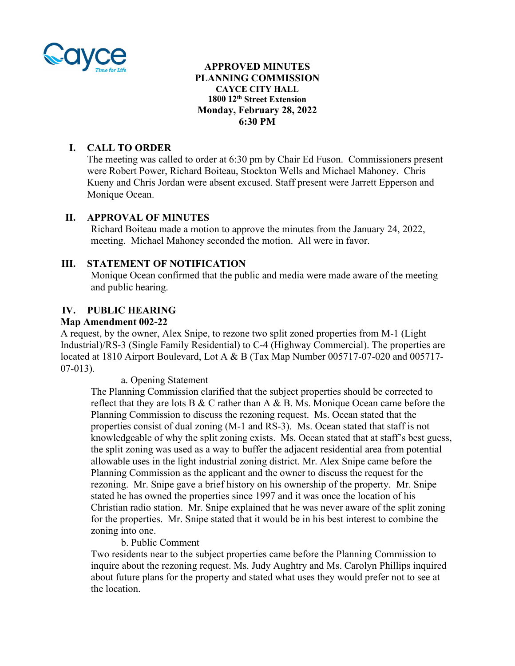

### **APPROVED MINUTES PLANNING COMMISSION CAYCE CITY HALL 1800 12th Street Extension Monday, February 28, 2022 6:30 PM**

## **I. CALL TO ORDER**

The meeting was called to order at 6:30 pm by Chair Ed Fuson. Commissioners present were Robert Power, Richard Boiteau, Stockton Wells and Michael Mahoney. Chris Kueny and Chris Jordan were absent excused. Staff present were Jarrett Epperson and Monique Ocean.

## **II. APPROVAL OF MINUTES**

Richard Boiteau made a motion to approve the minutes from the January 24, 2022, meeting. Michael Mahoney seconded the motion. All were in favor.

### **III. STATEMENT OF NOTIFICATION**

Monique Ocean confirmed that the public and media were made aware of the meeting and public hearing.

### **IV. PUBLIC HEARING**

### **Map Amendment 002-22**

A request, by the owner, Alex Snipe, to rezone two split zoned properties from M-1 (Light Industrial)/RS-3 (Single Family Residential) to C-4 (Highway Commercial). The properties are located at 1810 Airport Boulevard, Lot A & B (Tax Map Number 005717-07-020 and 005717- 07-013).

a. Opening Statement

The Planning Commission clarified that the subject properties should be corrected to reflect that they are lots B & C rather than A & B. Ms. Monique Ocean came before the Planning Commission to discuss the rezoning request. Ms. Ocean stated that the properties consist of dual zoning (M-1 and RS-3). Ms. Ocean stated that staff is not knowledgeable of why the split zoning exists. Ms. Ocean stated that at staff's best guess, the split zoning was used as a way to buffer the adjacent residential area from potential allowable uses in the light industrial zoning district. Mr. Alex Snipe came before the Planning Commission as the applicant and the owner to discuss the request for the rezoning. Mr. Snipe gave a brief history on his ownership of the property. Mr. Snipe stated he has owned the properties since 1997 and it was once the location of his Christian radio station. Mr. Snipe explained that he was never aware of the split zoning for the properties. Mr. Snipe stated that it would be in his best interest to combine the zoning into one.

### b. Public Comment

Two residents near to the subject properties came before the Planning Commission to inquire about the rezoning request. Ms. Judy Aughtry and Ms. Carolyn Phillips inquired about future plans for the property and stated what uses they would prefer not to see at the location.